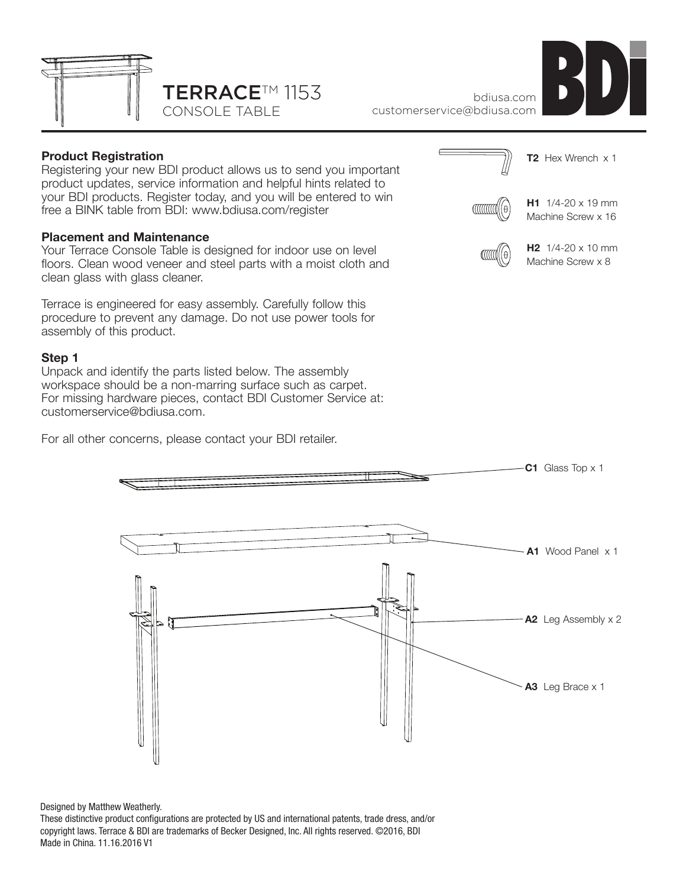



bdiusa.com customerservice@bdiusa.com

# **Product Registration**

Registering your new BDI product allows us to send you important product updates, service information and helpful hints related to your BDI products. Register today, and you will be entered to win free a BINK table from BDI: www.bdiusa.com/register

#### **Placement and Maintenance**

Your Terrace Console Table is designed for indoor use on level floors. Clean wood veneer and steel parts with a moist cloth and clean glass with glass cleaner.

Terrace is engineered for easy assembly. Carefully follow this procedure to prevent any damage. Do not use power tools for assembly of this product.

#### **Step 1**

Unpack and identify the parts listed below. The assembly workspace should be a non-marring surface such as carpet. For missing hardware pieces, contact BDI Customer Service at: customerservice@bdiusa.com.

For all other concerns, please contact your BDI retailer.







Designed by Matthew Weatherly.

These distinctive product configurations are protected by US and international patents, trade dress, and/or copyright laws. Terrace & BDI are trademarks of Becker Designed, Inc. All rights reserved. ©2016, BDI Made in China. 11.16.2016 V1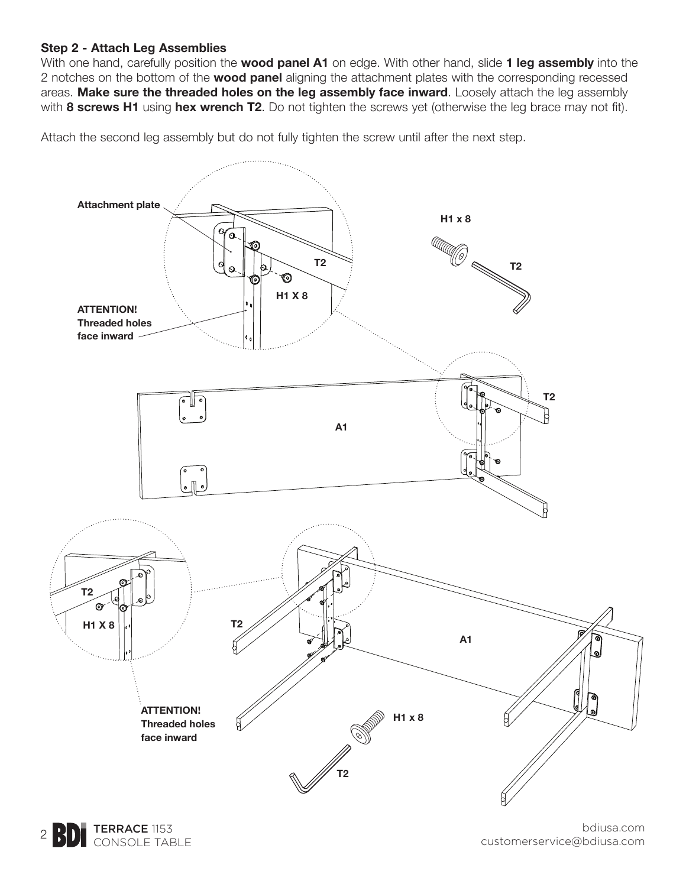## **Step 2 - Attach Leg Assemblies**

With one hand, carefully position the **wood panel A1** on edge. With other hand, slide **1 leg assembly** into the 2 notches on the bottom of the **wood panel** aligning the attachment plates with the corresponding recessed areas. **Make sure the threaded holes on the leg assembly face inward**. Loosely attach the leg assembly with **8 screws H1** using **hex wrench T2**. Do not tighten the screws yet (otherwise the leg brace may not fit).

Attach the second leg assembly but do not fully tighten the screw until after the next step.



TERRACE 1153 2 **BD** CONSOLE TABLE

bdiusa.com customerservice@bdiusa.com